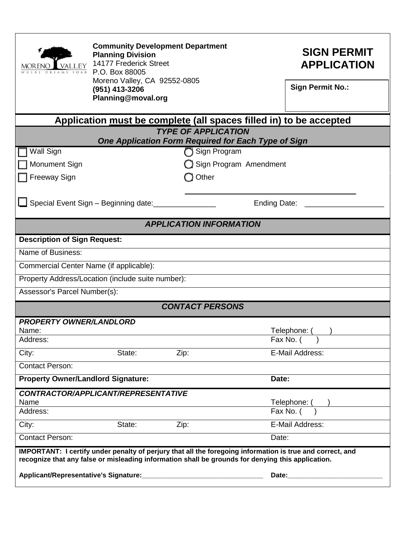| <b>VALLEY</b><br><b>MOREN</b>                                                                             | <b>Community Development Department</b><br><b>Planning Division</b><br>14177 Frederick Street<br>P.O. Box 88005<br>Moreno Valley, CA 92552-0805 |       |       | <b>SIGN PERMIT</b><br><b>APPLICATION</b> |
|-----------------------------------------------------------------------------------------------------------|-------------------------------------------------------------------------------------------------------------------------------------------------|-------|-------|------------------------------------------|
|                                                                                                           | (951) 413-3206<br>Planning@moval.org                                                                                                            |       |       | <b>Sign Permit No.:</b>                  |
| Application must be complete (all spaces filled in) to be accepted                                        |                                                                                                                                                 |       |       |                                          |
| <b>TYPE OF APPLICATION</b><br>One Application Form Required for Each Type of Sign                         |                                                                                                                                                 |       |       |                                          |
| Wall Sign<br>Sign Program                                                                                 |                                                                                                                                                 |       |       |                                          |
| Monument Sign                                                                                             | Sign Program Amendment                                                                                                                          |       |       |                                          |
| <b>Freeway Sign</b>                                                                                       |                                                                                                                                                 | Other |       |                                          |
|                                                                                                           |                                                                                                                                                 |       |       |                                          |
| Special Event Sign - Beginning date:                                                                      |                                                                                                                                                 |       |       | Ending Date: ______                      |
| <b>APPLICATION INFORMATION</b>                                                                            |                                                                                                                                                 |       |       |                                          |
| <b>Description of Sign Request:</b>                                                                       |                                                                                                                                                 |       |       |                                          |
| Name of Business:                                                                                         |                                                                                                                                                 |       |       |                                          |
| Commercial Center Name (if applicable):                                                                   |                                                                                                                                                 |       |       |                                          |
| Property Address/Location (include suite number):                                                         |                                                                                                                                                 |       |       |                                          |
| Assessor's Parcel Number(s):                                                                              |                                                                                                                                                 |       |       |                                          |
| <b>CONTACT PERSONS</b>                                                                                    |                                                                                                                                                 |       |       |                                          |
| <b>PROPERTY OWNER/LANDLORD</b>                                                                            |                                                                                                                                                 |       |       |                                          |
| Name:<br>Address:                                                                                         |                                                                                                                                                 |       |       | Telephone:<br>Fax No. (                  |
| City:                                                                                                     | State:                                                                                                                                          | Zip:  |       | E-Mail Address:                          |
| <b>Contact Person:</b>                                                                                    |                                                                                                                                                 |       |       |                                          |
| <b>Property Owner/Landlord Signature:</b>                                                                 |                                                                                                                                                 |       |       | Date:                                    |
|                                                                                                           | CONTRACTOR/APPLICANT/REPRESENTATIVE                                                                                                             |       |       |                                          |
| Name<br>Address:                                                                                          |                                                                                                                                                 |       |       | Telephone: (<br>Fax No. $($ )            |
| City:                                                                                                     | State:                                                                                                                                          | Zip:  |       | E-Mail Address:                          |
| <b>Contact Person:</b>                                                                                    |                                                                                                                                                 |       | Date: |                                          |
| IMPORTANT: I certify under penalty of perjury that all the foregoing information is true and correct, and |                                                                                                                                                 |       |       |                                          |
| recognize that any false or misleading information shall be grounds for denying this application.         |                                                                                                                                                 |       |       |                                          |
|                                                                                                           |                                                                                                                                                 |       |       |                                          |